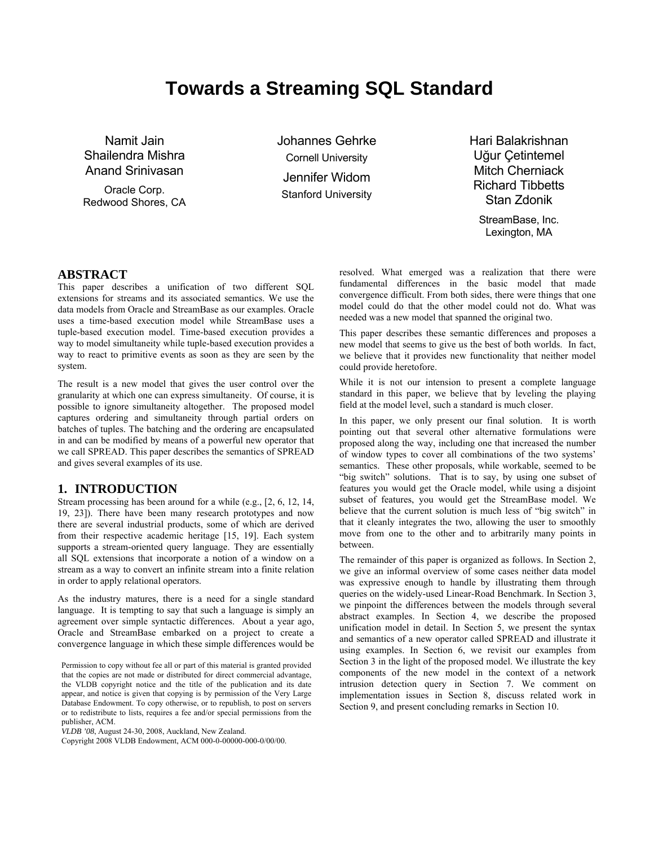# **Towards a Streaming SQL Standard**

Namit Jain Shailendra Mishra Anand Srinivasan

Oracle Corp. Redwood Shores, CA Johannes Gehrke Cornell University Jennifer Widom Stanford University

Hari Balakrishnan Uğur Çetintemel Mitch Cherniack Richard Tibbetts Stan Zdonik

> StreamBase, Inc. Lexington, MA

# **ABSTRACT**

This paper describes a unification of two different SQL extensions for streams and its associated semantics. We use the data models from Oracle and StreamBase as our examples. Oracle uses a time-based execution model while StreamBase uses a tuple-based execution model. Time-based execution provides a way to model simultaneity while tuple-based execution provides a way to react to primitive events as soon as they are seen by the system.

The result is a new model that gives the user control over the granularity at which one can express simultaneity. Of course, it is possible to ignore simultaneity altogether. The proposed model captures ordering and simultaneity through partial orders on batches of tuples. The batching and the ordering are encapsulated in and can be modified by means of a powerful new operator that we call SPREAD. This paper describes the semantics of SPREAD and gives several examples of its use.

# **1. INTRODUCTION**

Stream processing has been around for a while (e.g., [2, 6, 12, 14, 19, 23]). There have been many research prototypes and now there are several industrial products, some of which are derived from their respective academic heritage [15, 19]. Each system supports a stream-oriented query language. They are essentially all SQL extensions that incorporate a notion of a window on a stream as a way to convert an infinite stream into a finite relation in order to apply relational operators.

As the industry matures, there is a need for a single standard language. It is tempting to say that such a language is simply an agreement over simple syntactic differences. About a year ago, Oracle and StreamBase embarked on a project to create a convergence language in which these simple differences would be

Permission to copy without fee all or part of this material is granted provided that the copies are not made or distributed for direct commercial advantage, the VLDB copyright notice and the title of the publication and its date appear, and notice is given that copying is by permission of the Very Large Database Endowment. To copy otherwise, or to republish, to post on servers or to redistribute to lists, requires a fee and/or special permissions from the publisher, ACM.

*VLDB '08*, August 24-30, 2008, Auckland, New Zealand.

Copyright 2008 VLDB Endowment, ACM 000-0-00000-000-0/00/00.

resolved. What emerged was a realization that there were fundamental differences in the basic model that made convergence difficult. From both sides, there were things that one model could do that the other model could not do. What was needed was a new model that spanned the original two.

This paper describes these semantic differences and proposes a new model that seems to give us the best of both worlds. In fact, we believe that it provides new functionality that neither model could provide heretofore.

While it is not our intension to present a complete language standard in this paper, we believe that by leveling the playing field at the model level, such a standard is much closer.

In this paper, we only present our final solution. It is worth pointing out that several other alternative formulations were proposed along the way, including one that increased the number of window types to cover all combinations of the two systems' semantics. These other proposals, while workable, seemed to be "big switch" solutions. That is to say, by using one subset of features you would get the Oracle model, while using a disjoint subset of features, you would get the StreamBase model. We believe that the current solution is much less of "big switch" in that it cleanly integrates the two, allowing the user to smoothly move from one to the other and to arbitrarily many points in between.

The remainder of this paper is organized as follows. In Section 2, we give an informal overview of some cases neither data model was expressive enough to handle by illustrating them through queries on the widely-used Linear-Road Benchmark. In Section 3, we pinpoint the differences between the models through several abstract examples. In Section 4, we describe the proposed unification model in detail. In Section 5, we present the syntax and semantics of a new operator called SPREAD and illustrate it using examples. In Section 6, we revisit our examples from Section 3 in the light of the proposed model. We illustrate the key components of the new model in the context of a network intrusion detection query in Section 7. We comment on implementation issues in Section 8, discuss related work in Section 9, and present concluding remarks in Section 10.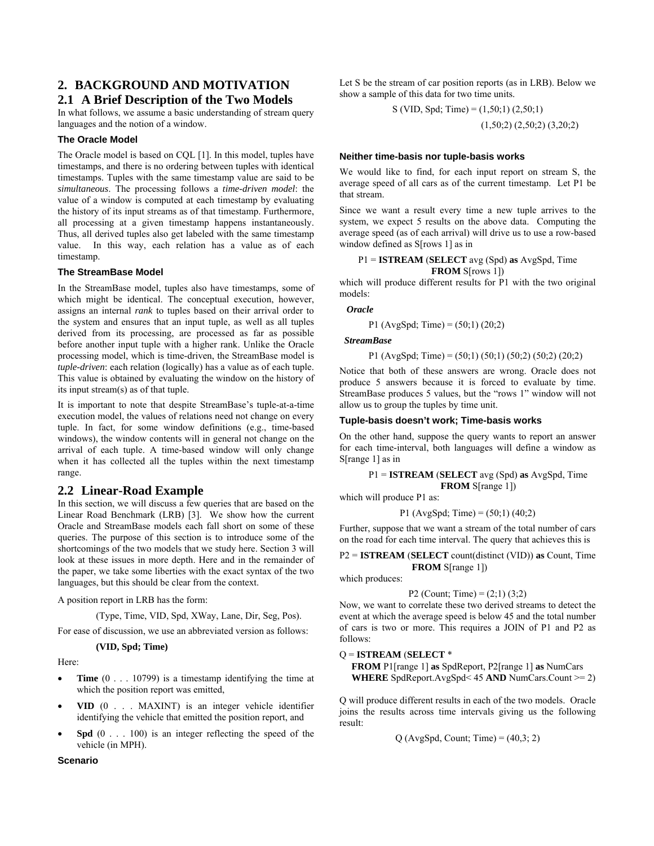# **2. BACKGROUND AND MOTIVATION 2.1 A Brief Description of the Two Models**

In what follows, we assume a basic understanding of stream query languages and the notion of a window.

## **The Oracle Model**

The Oracle model is based on CQL [1]. In this model, tuples have timestamps, and there is no ordering between tuples with identical timestamps. Tuples with the same timestamp value are said to be *simultaneous*. The processing follows a *time-driven model*: the value of a window is computed at each timestamp by evaluating the history of its input streams as of that timestamp. Furthermore, all processing at a given timestamp happens instantaneously. Thus, all derived tuples also get labeled with the same timestamp value. In this way, each relation has a value as of each timestamp.

#### **The StreamBase Model**

In the StreamBase model, tuples also have timestamps, some of which might be identical. The conceptual execution, however, assigns an internal *rank* to tuples based on their arrival order to the system and ensures that an input tuple, as well as all tuples derived from its processing, are processed as far as possible before another input tuple with a higher rank. Unlike the Oracle processing model, which is time-driven, the StreamBase model is *tuple-driven*: each relation (logically) has a value as of each tuple. This value is obtained by evaluating the window on the history of its input stream(s) as of that tuple.

It is important to note that despite StreamBase's tuple-at-a-time execution model, the values of relations need not change on every tuple. In fact, for some window definitions (e.g., time-based windows), the window contents will in general not change on the arrival of each tuple. A time-based window will only change when it has collected all the tuples within the next timestamp range.

# **2.2 Linear-Road Example**

In this section, we will discuss a few queries that are based on the Linear Road Benchmark (LRB) [3]. We show how the current Oracle and StreamBase models each fall short on some of these queries. The purpose of this section is to introduce some of the shortcomings of the two models that we study here. Section 3 will look at these issues in more depth. Here and in the remainder of the paper, we take some liberties with the exact syntax of the two languages, but this should be clear from the context.

A position report in LRB has the form:

(Type, Time, VID, Spd, XWay, Lane, Dir, Seg, Pos).

For ease of discussion, we use an abbreviated version as follows:

#### **(VID, Spd; Time)**

Here:

- **Time**  $(0 \ldots 10799)$  is a timestamp identifying the time at which the position report was emitted,
- **VID** (0 . . . MAXINT) is an integer vehicle identifier identifying the vehicle that emitted the position report, and
- **Spd**  $(0 \ldots 100)$  is an integer reflecting the speed of the vehicle (in MPH).

Let S be the stream of car position reports (as in LRB). Below we show a sample of this data for two time units.

$$
S (VID, Spd; Time) = (1,50;1) (2,50;1)
$$

$$
(1,50;2) (2,50;2) (3,20;2)
$$

#### **Neither time-basis nor tuple-basis works**

We would like to find, for each input report on stream S, the average speed of all cars as of the current timestamp. Let P1 be that stream.

Since we want a result every time a new tuple arrives to the system, we expect 5 results on the above data. Computing the average speed (as of each arrival) will drive us to use a row-based window defined as S[rows 1] as in

#### P1 = **ISTREAM** (**SELECT** avg (Spd) **as** AvgSpd, Time **FROM** S[rows 1])

which will produce different results for P1 with the two original models:

#### *Oracle*

P1 (AvgSpd; Time) =  $(50;1)$  (20;2)

#### *StreamBase*

P1 (AvgSpd; Time) = (50;1) (50;1) (50;2) (50;2) (20;2)

Notice that both of these answers are wrong. Oracle does not produce 5 answers because it is forced to evaluate by time. StreamBase produces 5 values, but the "rows 1" window will not allow us to group the tuples by time unit.

#### **Tuple-basis doesn't work; Time-basis works**

On the other hand, suppose the query wants to report an answer for each time-interval, both languages will define a window as S[range 1] as in

 P1 = **ISTREAM** (**SELECT** avg (Spd) **as** AvgSpd, Time **FROM** S[range 1])

which will produce P1 as:

P1 (AvgSpd; Time) =  $(50;1)$  (40;2)

Further, suppose that we want a stream of the total number of cars on the road for each time interval. The query that achieves this is

P2 = **ISTREAM** (**SELECT** count(distinct (VID)) **as** Count, Time **FROM** S[range 1])

which produces:

P2 (Count; Time) = 
$$
(2;1)
$$
 (3;2)

Now, we want to correlate these two derived streams to detect the event at which the average speed is below 45 and the total number of cars is two or more. This requires a JOIN of P1 and P2 as follows:

#### Q = **ISTREAM** (**SELECT** \*

 **FROM** P1[range 1] **as** SpdReport, P2[range 1] **as** NumCars **WHERE** SpdReport.AvgSpd< 45 **AND** NumCars.Count >= 2)

Q will produce different results in each of the two models. Oracle joins the results across time intervals giving us the following result:

$$
Q (AvgSpd, Count; Time) = (40,3; 2)
$$

## **Scenario**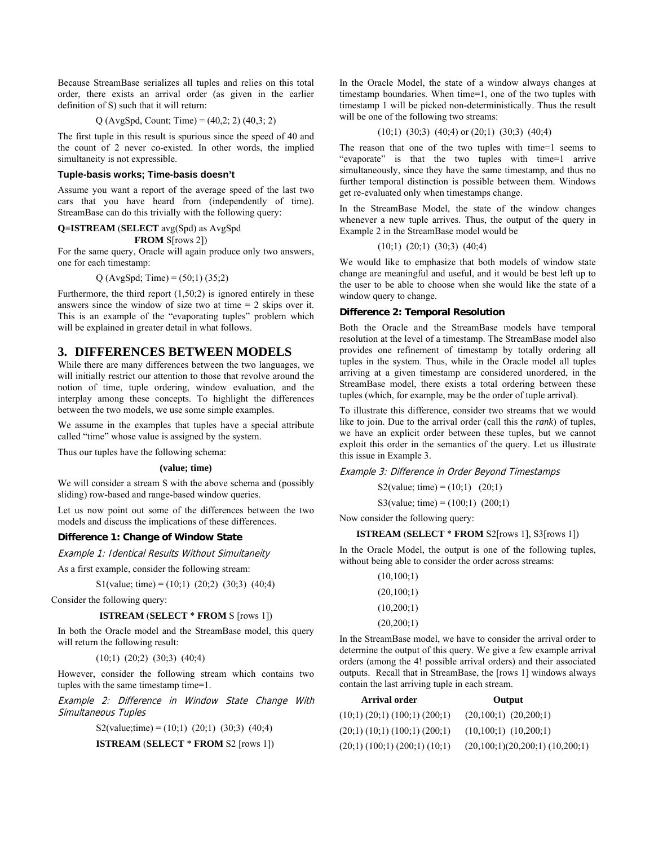Because StreamBase serializes all tuples and relies on this total order, there exists an arrival order (as given in the earlier definition of S) such that it will return:

$$
Q \text{ (AvgSpd, Count; Time)} = (40,2; 2) (40,3; 2)
$$

The first tuple in this result is spurious since the speed of 40 and the count of 2 never co-existed. In other words, the implied simultaneity is not expressible.

#### **Tuple-basis works; Time-basis doesn't**

Assume you want a report of the average speed of the last two cars that you have heard from (independently of time). StreamBase can do this trivially with the following query:

## **Q=ISTREAM** (**SELECT** avg(Spd) as AvgSpd

## **FROM** S[rows 2])

For the same query, Oracle will again produce only two answers, one for each timestamp:

## Q (AvgSpd; Time) =  $(50;1)$   $(35;2)$

Furthermore, the third report  $(1,50;2)$  is ignored entirely in these answers since the window of size two at time  $= 2$  skips over it. This is an example of the "evaporating tuples" problem which will be explained in greater detail in what follows.

# **3. DIFFERENCES BETWEEN MODELS**

While there are many differences between the two languages, we will initially restrict our attention to those that revolve around the notion of time, tuple ordering, window evaluation, and the interplay among these concepts. To highlight the differences between the two models, we use some simple examples.

We assume in the examples that tuples have a special attribute called "time" whose value is assigned by the system.

Thus our tuples have the following schema:

#### **(value; time)**

We will consider a stream S with the above schema and (possibly sliding) row-based and range-based window queries.

Let us now point out some of the differences between the two models and discuss the implications of these differences.

## **Difference 1: Change of Window State**

Example 1: Identical Results Without Simultaneity

As a first example, consider the following stream:

```
S1(value; time) = (10;1) (20;2) (30;3) (40;4)
```
Consider the following query:

#### **ISTREAM** (**SELECT** \* **FROM** S [rows 1])

In both the Oracle model and the StreamBase model, this query will return the following result:

(10;1) (20;2) (30;3) (40;4)

However, consider the following stream which contains two tuples with the same timestamp time=1.

Example 2: Difference in Window State Change With Simultaneous Tuples

$$
S2(value; time) = (10; 1) (20; 1) (30; 3) (40; 4)
$$

#### **ISTREAM** (**SELECT** \* **FROM** S2 [rows 1])

In the Oracle Model, the state of a window always changes at timestamp boundaries. When time=1, one of the two tuples with timestamp 1 will be picked non-deterministically. Thus the result will be one of the following two streams:

## $(10;1)$   $(30;3)$   $(40;4)$  or  $(20;1)$   $(30;3)$   $(40;4)$

The reason that one of the two tuples with time=1 seems to "evaporate" is that the two tuples with time=1 arrive simultaneously, since they have the same timestamp, and thus no further temporal distinction is possible between them. Windows get re-evaluated only when timestamps change.

In the StreamBase Model, the state of the window changes whenever a new tuple arrives. Thus, the output of the query in Example 2 in the StreamBase model would be

$$
(10;1) (20;1) (30;3) (40;4)
$$

We would like to emphasize that both models of window state change are meaningful and useful, and it would be best left up to the user to be able to choose when she would like the state of a window query to change.

#### **Difference 2: Temporal Resolution**

Both the Oracle and the StreamBase models have temporal resolution at the level of a timestamp. The StreamBase model also provides one refinement of timestamp by totally ordering all tuples in the system. Thus, while in the Oracle model all tuples arriving at a given timestamp are considered unordered, in the StreamBase model, there exists a total ordering between these tuples (which, for example, may be the order of tuple arrival).

To illustrate this difference, consider two streams that we would like to join. Due to the arrival order (call this the *rank*) of tuples, we have an explicit order between these tuples, but we cannot exploit this order in the semantics of the query. Let us illustrate this issue in Example 3.

## Example 3: Difference in Order Beyond Timestamps

S2(value; time) =  $(10;1)$   $(20;1)$ 

S3(value; time) = (100;1) (200;1)

Now consider the following query:

## **ISTREAM** (**SELECT** \* **FROM** S2[rows 1], S3[rows 1])

In the Oracle Model, the output is one of the following tuples, without being able to consider the order across streams:

In the StreamBase model, we have to consider the arrival order to determine the output of this query. We give a few example arrival orders (among the 4! possible arrival orders) and their associated outputs. Recall that in StreamBase, the [rows 1] windows always contain the last arriving tuple in each stream.

| <b>Arrival order</b>                  | Output                              |
|---------------------------------------|-------------------------------------|
| $(10;1)$ $(20;1)$ $(100;1)$ $(200;1)$ | $(20,100,1)$ $(20,200,1)$           |
| $(20;1)$ $(10;1)$ $(100;1)$ $(200;1)$ | $(10,100;1)$ $(10,200;1)$           |
| $(20;1)$ $(100;1)$ $(200;1)$ $(10;1)$ | $(20,100,1)(20,200,1)$ $(10,200,1)$ |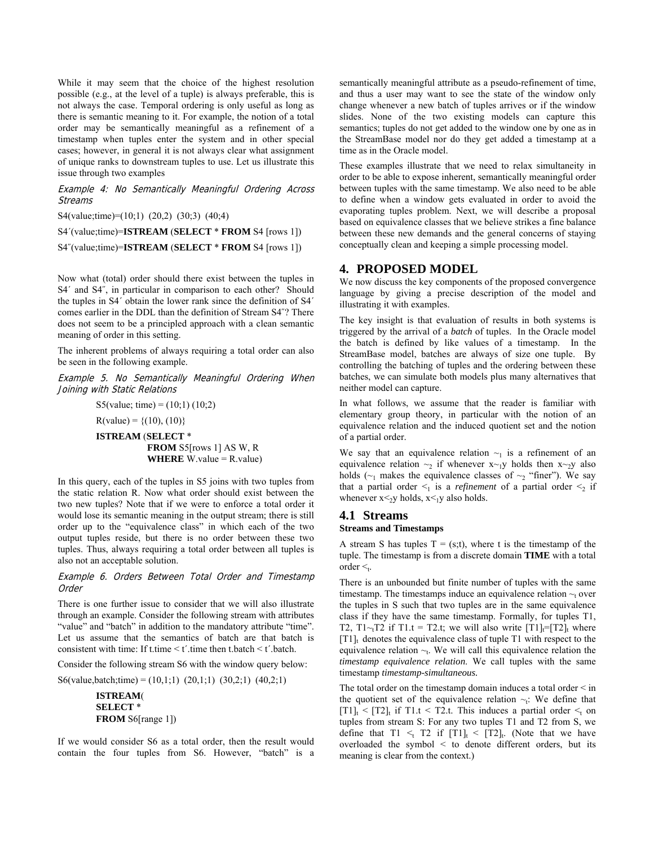While it may seem that the choice of the highest resolution possible (e.g., at the level of a tuple) is always preferable, this is not always the case. Temporal ordering is only useful as long as there is semantic meaning to it. For example, the notion of a total order may be semantically meaningful as a refinement of a timestamp when tuples enter the system and in other special cases; however, in general it is not always clear what assignment of unique ranks to downstream tuples to use. Let us illustrate this issue through two examples

Example 4: No Semantically Meaningful Ordering Across Streams

S4(value;time)=(10;1) (20,2) (30;3) (40;4) S4´(value;time)=**ISTREAM** (**SELECT** \* **FROM** S4 [rows 1]) S4˝(value;time)=**ISTREAM** (**SELECT** \* **FROM** S4 [rows 1])

Now what (total) order should there exist between the tuples in S4´ and S4˝, in particular in comparison to each other? Should the tuples in S4΄ obtain the lower rank since the definition of S4´ comes earlier in the DDL than the definition of Stream S4˝? There does not seem to be a principled approach with a clean semantic meaning of order in this setting.

The inherent problems of always requiring a total order can also be seen in the following example.

Example 5. No Semantically Meaningful Ordering When Joining with Static Relations

S5(value; time) =  $(10;1)$   $(10;2)$ 

 $R(value) = \{(10), (10)\}\$ 

**ISTREAM** (**SELECT** \*  **FROM** S5[rows 1] AS W, R  **WHERE** W.value = R.value)

In this query, each of the tuples in S5 joins with two tuples from the static relation R. Now what order should exist between the two new tuples? Note that if we were to enforce a total order it would lose its semantic meaning in the output stream; there is still order up to the "equivalence class" in which each of the two output tuples reside, but there is no order between these two tuples. Thus, always requiring a total order between all tuples is also not an acceptable solution.

## Example 6. Orders Between Total Order and Timestamp Order

There is one further issue to consider that we will also illustrate through an example. Consider the following stream with attributes "value" and "batch" in addition to the mandatory attribute "time". Let us assume that the semantics of batch are that batch is consistent with time: If t.time  $\leq t'$ .time then t.batch  $\leq t'$ .batch.

Consider the following stream S6 with the window query below:

S6(value,batch;time) =  $(10,1;1)$   $(20,1;1)$   $(30,2;1)$   $(40,2;1)$ 

**ISTREAM**( **SELECT** \* **FROM** S6[range 1])

If we would consider S6 as a total order, then the result would contain the four tuples from S6. However, "batch" is a semantically meaningful attribute as a pseudo-refinement of time, and thus a user may want to see the state of the window only change whenever a new batch of tuples arrives or if the window slides. None of the two existing models can capture this semantics; tuples do not get added to the window one by one as in the StreamBase model nor do they get added a timestamp at a time as in the Oracle model.

These examples illustrate that we need to relax simultaneity in order to be able to expose inherent, semantically meaningful order between tuples with the same timestamp. We also need to be able to define when a window gets evaluated in order to avoid the evaporating tuples problem. Next, we will describe a proposal based on equivalence classes that we believe strikes a fine balance between these new demands and the general concerns of staying conceptually clean and keeping a simple processing model.

# **4. PROPOSED MODEL**

We now discuss the key components of the proposed convergence language by giving a precise description of the model and illustrating it with examples.

The key insight is that evaluation of results in both systems is triggered by the arrival of a *batch* of tuples. In the Oracle model the batch is defined by like values of a timestamp. In the StreamBase model, batches are always of size one tuple. By controlling the batching of tuples and the ordering between these batches, we can simulate both models plus many alternatives that neither model can capture.

In what follows, we assume that the reader is familiar with elementary group theory, in particular with the notion of an equivalence relation and the induced quotient set and the notion of a partial order.

We say that an equivalence relation  $\sim_1$  is a refinement of an equivalence relation  $\sim_2$  if whenever  $x \sim_1 y$  holds then  $x \sim_2 y$  also holds ( $\sim$ <sub>1</sub> makes the equivalence classes of  $\sim$ <sub>2</sub> "finer"). We say that a partial order  $\leq_1$  is a *refinement* of a partial order  $\leq_2$  if whenever  $x \leq_2 y$  holds,  $x \leq_1 y$  also holds.

# **4.1 Streams**

# **Streams and Timestamps**

A stream S has tuples  $T = (s,t)$ , where t is the timestamp of the tuple. The timestamp is from a discrete domain **TIME** with a total  $order <$ .

There is an unbounded but finite number of tuples with the same timestamp. The timestamps induce an equivalence relation  $\sim_t$  over the tuples in S such that two tuples are in the same equivalence class if they have the same timestamp. Formally, for tuples T1, T2, T1 $\sim$ <sub>t</sub>T2 if T1.t = T2.t; we will also write  $[T1]$ <sub>t</sub>= $[T2]$ <sub>t</sub> where  $[T1]_t$  denotes the equivalence class of tuple T1 with respect to the equivalence relation  $\sim_t$ . We will call this equivalence relation the *timestamp equivalence relation*. We call tuples with the same timestamp *timestamp-simultaneous.* 

The total order on the timestamp domain induces a total order < in the quotient set of the equivalence relation  $\sim$ . We define that  $[T1]_t$  <  $[T2]_t$  if T1.t < T2.t. This induces a partial order  $\leq_t$  on tuples from stream S: For any two tuples T1 and T2 from S, we define that  $T_1 \leq T_2$  if  $[T_1]_t \leq [T_2]_t$ . (Note that we have overloaded the symbol < to denote different orders, but its meaning is clear from the context.)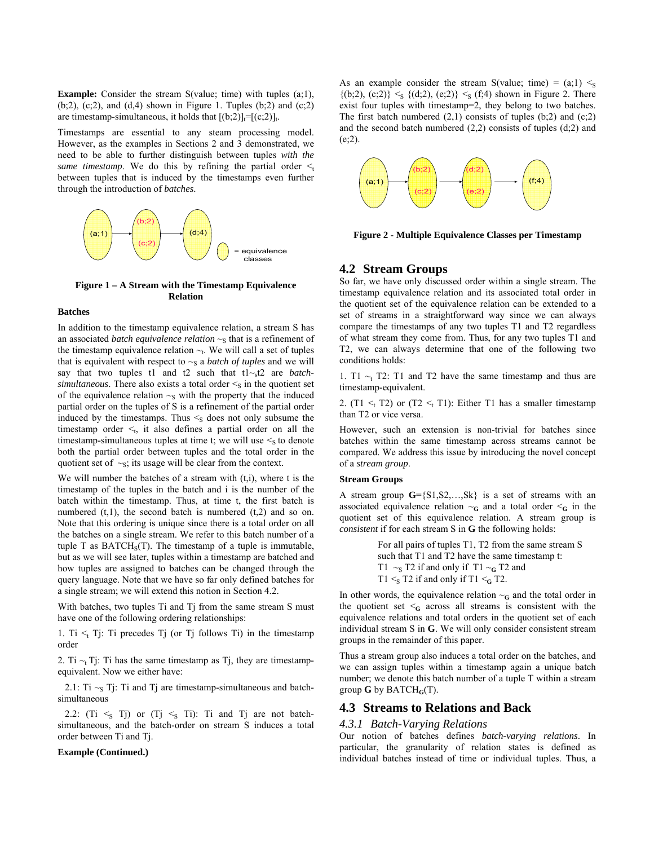**Example:** Consider the stream S(value; time) with tuples (a;1), (b;2), (c;2), and  $(d,4)$  shown in Figure 1. Tuples (b;2) and (c;2) are timestamp-simultaneous, it holds that  $[(b,2)]_t=[(c,2)]_t$ .

Timestamps are essential to any steam processing model. However, as the examples in Sections 2 and 3 demonstrated, we need to be able to further distinguish between tuples *with the same timestamp*. We do this by refining the partial order  $\leq$ between tuples that is induced by the timestamps even further through the introduction of *batches*.



#### **Figure 1 – A Stream with the Timestamp Equivalence Relation**

#### **Batches**

In addition to the timestamp equivalence relation, a stream S has an associated *batch equivalence relation*  $\sim_S$  that is a refinement of the timestamp equivalence relation  $\sim_t$ . We will call a set of tuples that is equivalent with respect to  $\sim$ <sub>S</sub> a *batch of tuples* and we will say that two tuples t1 and t2 such that  $t1 \sim s$ t2 are *batchsimultaneous*. There also exists a total order  $\leq_S$  in the quotient set of the equivalence relation  $\sim_S$  with the property that the induced partial order on the tuples of S is a refinement of the partial order induced by the timestamps. Thus  $\leq_S$  does not only subsume the timestamp order  $\leq_t$ , it also defines a partial order on all the timestamp-simultaneous tuples at time t; we will use  $\leq_S$  to denote both the partial order between tuples and the total order in the quotient set of  $\sim$ <sub>S</sub>; its usage will be clear from the context.

We will number the batches of a stream with  $(t,i)$ , where t is the timestamp of the tuples in the batch and i is the number of the batch within the timestamp. Thus, at time t, the first batch is numbered  $(t,1)$ , the second batch is numbered  $(t,2)$  and so on. Note that this ordering is unique since there is a total order on all the batches on a single stream. We refer to this batch number of a tuple T as  $BATCH<sub>s</sub>(T)$ . The timestamp of a tuple is immutable, but as we will see later, tuples within a timestamp are batched and how tuples are assigned to batches can be changed through the query language. Note that we have so far only defined batches for a single stream; we will extend this notion in Section 4.2.

With batches, two tuples Ti and Tj from the same stream S must have one of the following ordering relationships:

1. Ti  $\leq$  Tj: Ti precedes Tj (or Tj follows Ti) in the timestamp order

2. Ti  $\sim_t$  Tj: Ti has the same timestamp as Tj, they are timestampequivalent. Now we either have:

2.1: Ti  $\sim$ <sub>S</sub> Tj: Ti and Tj are timestamp-simultaneous and batchsimultaneous

2.2: (Ti  $\leq_S$  Tj) or (Tj  $\leq_S$  Ti): Ti and Tj are not batchsimultaneous, and the batch-order on stream S induces a total order between Ti and Tj.

**Example (Continued.)** 

As an example consider the stream S(value; time) =  $(a;1) <sub>S</sub>$  ${(b;2), (c;2)} <_{S} { (d;2), (e;2)} <_{S} (f;4)$  shown in Figure 2. There exist four tuples with timestamp=2, they belong to two batches. The first batch numbered  $(2,1)$  consists of tuples  $(b;2)$  and  $(c;2)$ and the second batch numbered  $(2,2)$  consists of tuples  $(d,2)$  and (e;2).



**Figure 2 - Multiple Equivalence Classes per Timestamp**

# **4.2 Stream Groups**

So far, we have only discussed order within a single stream. The timestamp equivalence relation and its associated total order in the quotient set of the equivalence relation can be extended to a set of streams in a straightforward way since we can always compare the timestamps of any two tuples T1 and T2 regardless of what stream they come from. Thus, for any two tuples T1 and T2, we can always determine that one of the following two conditions holds:

1. T1  $\sim$  T2: T1 and T2 have the same timestamp and thus are timestamp-equivalent.

2. (T1  $\leq$  T2) or (T2  $\leq$  T1): Either T1 has a smaller timestamp than T2 or vice versa.

However, such an extension is non-trivial for batches since batches within the same timestamp across streams cannot be compared. We address this issue by introducing the novel concept of a *stream group*.

#### **Stream Groups**

A stream group  $G = \{S1, S2, \ldots, Sk\}$  is a set of streams with an associated equivalence relation  $\sim$ **G** and a total order  $\leq$ **G** in the quotient set of this equivalence relation. A stream group is *consistent* if for each stream S in **G** the following holds:

> For all pairs of tuples T1, T2 from the same stream S such that T1 and T2 have the same timestamp t: T1  $\sim_S$  T2 if and only if T1  $\sim_G$  T2 and T1  $\leq$  T2 if and only if T1  $\leq$  T2.

In other words, the equivalence relation  $\sim$ **G** and the total order in the quotient set  $\leq_G$  across all streams is consistent with the equivalence relations and total orders in the quotient set of each individual stream S in **G**. We will only consider consistent stream groups in the remainder of this paper.

Thus a stream group also induces a total order on the batches, and we can assign tuples within a timestamp again a unique batch number; we denote this batch number of a tuple T within a stream group **G** by  $\text{BATCH}_G(T)$ .

# **4.3 Streams to Relations and Back**

#### *4.3.1 Batch-Varying Relations*

Our notion of batches defines *batch-varying relations*. In particular, the granularity of relation states is defined as individual batches instead of time or individual tuples. Thus, a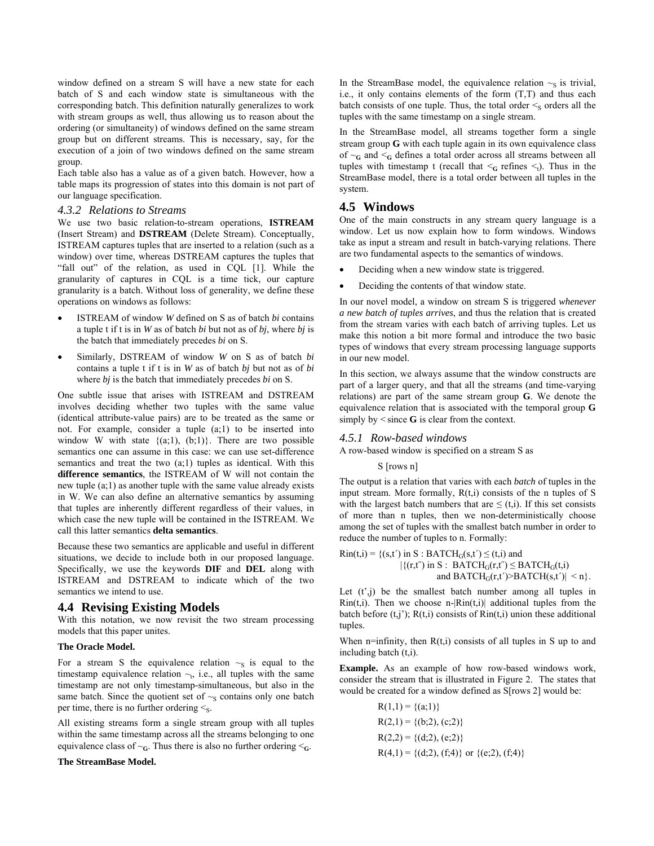window defined on a stream S will have a new state for each batch of S and each window state is simultaneous with the corresponding batch. This definition naturally generalizes to work with stream groups as well, thus allowing us to reason about the ordering (or simultaneity) of windows defined on the same stream group but on different streams. This is necessary, say, for the execution of a join of two windows defined on the same stream group.

Each table also has a value as of a given batch. However, how a table maps its progression of states into this domain is not part of our language specification.

#### *4.3.2 Relations to Streams*

We use two basic relation-to-stream operations, **ISTREAM** (Insert Stream) and **DSTREAM** (Delete Stream). Conceptually, ISTREAM captures tuples that are inserted to a relation (such as a window) over time, whereas DSTREAM captures the tuples that "fall out" of the relation, as used in CQL [1]. While the granularity of captures in CQL is a time tick, our capture granularity is a batch. Without loss of generality, we define these operations on windows as follows:

- ISTREAM of window *W* defined on S as of batch *bi* contains a tuple t if t is in *W* as of batch *bi* but not as of *bj*, where *bj* is the batch that immediately precedes *bi* on S.
- Similarly, DSTREAM of window *W* on S as of batch *bi* contains a tuple t if t is in *W* as of batch *bj* but not as of *bi* where *bj* is the batch that immediately precedes *bi* on S.

One subtle issue that arises with ISTREAM and DSTREAM involves deciding whether two tuples with the same value (identical attribute-value pairs) are to be treated as the same or not. For example, consider a tuple (a;1) to be inserted into window W with state  $\{(a,1), (b,1)\}$ . There are two possible semantics one can assume in this case: we can use set-difference semantics and treat the two (a;1) tuples as identical. With this **difference semantics**, the ISTREAM of W will not contain the new tuple  $(a;1)$  as another tuple with the same value already exists in W. We can also define an alternative semantics by assuming that tuples are inherently different regardless of their values, in which case the new tuple will be contained in the ISTREAM. We call this latter semantics **delta semantics**.

Because these two semantics are applicable and useful in different situations, we decide to include both in our proposed language. Specifically, we use the keywords **DIF** and **DEL** along with ISTREAM and DSTREAM to indicate which of the two semantics we intend to use.

# **4.4 Revising Existing Models**

With this notation, we now revisit the two stream processing models that this paper unites.

#### **The Oracle Model.**

For a stream S the equivalence relation  $\sim$ <sub>S</sub> is equal to the timestamp equivalence relation  $\sim_t$ , i.e., all tuples with the same timestamp are not only timestamp-simultaneous, but also in the same batch. Since the quotient set of  $\sim_S$  contains only one batch per time, there is no further ordering  $\leq_{s}$ .

All existing streams form a single stream group with all tuples within the same timestamp across all the streams belonging to one equivalence class of  $\sim$ <sub>G</sub>. Thus there is also no further ordering  $\leq$ <sub>G</sub>.

## **The StreamBase Model.**

In the StreamBase model, the equivalence relation  $\sim$ <sub>S</sub> is trivial, i.e., it only contains elements of the form  $(T,T)$  and thus each batch consists of one tuple. Thus, the total order  $\leq_S$  orders all the tuples with the same timestamp on a single stream.

In the StreamBase model, all streams together form a single stream group **G** with each tuple again in its own equivalence class of  $\sim$ **G** and  $\leq$ **G** defines a total order across all streams between all tuples with timestamp t (recall that  $\leq_G$  refines  $\leq_t$ ). Thus in the StreamBase model, there is a total order between all tuples in the system.

# **4.5 Windows**

One of the main constructs in any stream query language is a window. Let us now explain how to form windows. Windows take as input a stream and result in batch-varying relations. There are two fundamental aspects to the semantics of windows.

- Deciding when a new window state is triggered.
- Deciding the contents of that window state.

In our novel model, a window on stream S is triggered *whenever a new batch of tuples arrives*, and thus the relation that is created from the stream varies with each batch of arriving tuples. Let us make this notion a bit more formal and introduce the two basic types of windows that every stream processing language supports in our new model.

In this section, we always assume that the window constructs are part of a larger query, and that all the streams (and time-varying relations) are part of the same stream group **G**. We denote the equivalence relation that is associated with the temporal group **G** simply by  $\leq$  since **G** is clear from the context.

#### *4.5.1 Row-based windows*

A row-based window is specified on a stream S as

#### S [rows n]

The output is a relation that varies with each *batch* of tuples in the input stream. More formally,  $R(t,i)$  consists of the n tuples of S with the largest batch numbers that are  $\leq$  (t,i). If this set consists of more than n tuples, then we non-deterministically choose among the set of tuples with the smallest batch number in order to reduce the number of tuples to n. Formally:

 $\text{Rin}(t,i) = \{(s,t') \text{ in } S : \text{BATCH}_G(s,t') \leq (t,i) \text{ and }$  $|\{(r,t") \text{ in } S : \text{ BATCH}_G(r,t'') \leq \text{BATCH}_G(t,i)\}\|$ and  $BATCH<sub>G</sub>(r,t')>BATCH(s,t')| \leq n$ .

Let  $(t',j)$  be the smallest batch number among all tuples in  $Rin(t,i)$ . Then we choose n- $|Rin(t,i)|$  additional tuples from the batch before  $(t,j)$ ;  $R(t,i)$  consists of  $Rin(t,i)$  union these additional tuples.

When n=infinity, then  $R(t,i)$  consists of all tuples in S up to and including batch (t,i).

**Example.** As an example of how row-based windows work, consider the stream that is illustrated in Figure 2. The states that would be created for a window defined as S[rows 2] would be:

 R(1,1) = {(a;1)} R(2,1) = {(b;2), (c;2)} R(2,2) = {(d;2), (e;2)} R(4,1) = {(d;2), (f;4)} or {(e;2), (f;4)}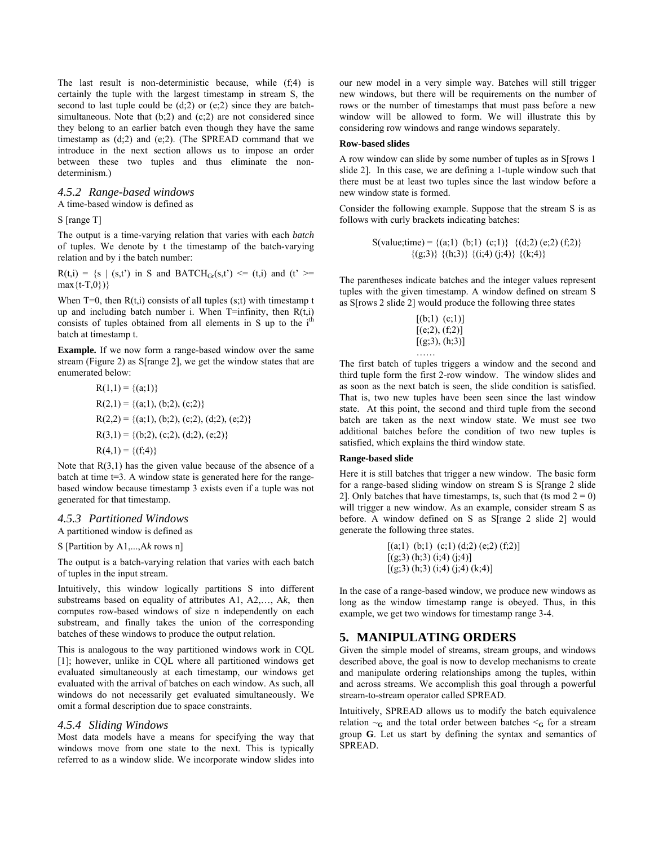The last result is non-deterministic because, while (f;4) is certainly the tuple with the largest timestamp in stream S, the second to last tuple could be  $(d, 2)$  or  $(e, 2)$  since they are batchsimultaneous. Note that  $(b,2)$  and  $(c,2)$  are not considered since they belong to an earlier batch even though they have the same timestamp as (d;2) and (e;2). (The SPREAD command that we introduce in the next section allows us to impose an order between these two tuples and thus eliminate the nondeterminism.)

#### *4.5.2 Range-based windows*

A time-based window is defined as

S [range T]

The output is a time-varying relation that varies with each *batch* of tuples. We denote by t the timestamp of the batch-varying relation and by i the batch number:

 $R(t,i) = {s \mid (s,t') \text{ in } S \text{ and } BATCH_{Gr}(s,t') \leq (t,i) \text{ and } (t') \geq 0}$  $max{t-T,0})$ 

When  $T=0$ , then  $R(t,i)$  consists of all tuples (s;t) with timestamp t up and including batch number i. When  $T=$ infinity, then  $R(t,i)$ consists of tuples obtained from all elements in S up to the  $i<sup>th</sup>$ batch at timestamp t.

**Example.** If we now form a range-based window over the same stream (Figure 2) as S[range 2], we get the window states that are enumerated below:

 R(1,1) = {(a;1)} R(2,1) = {(a;1), (b;2), (c;2)} R(2,2) = {(a;1), (b;2), (c;2), (d;2), (e;2)} R(3,1) = {(b;2), (c;2), (d;2), (e;2)} R(4,1) = {(f;4)}

Note that  $R(3,1)$  has the given value because of the absence of a batch at time t=3. A window state is generated here for the rangebased window because timestamp 3 exists even if a tuple was not generated for that timestamp.

#### *4.5.3 Partitioned Windows*

A partitioned window is defined as

## S [Partition by A1,...,A*k* rows n]

The output is a batch-varying relation that varies with each batch of tuples in the input stream.

Intuitively, this window logically partitions S into different substreams based on equality of attributes A1, A2,…, A*k*, then computes row-based windows of size n independently on each substream, and finally takes the union of the corresponding batches of these windows to produce the output relation.

This is analogous to the way partitioned windows work in CQL [1]; however, unlike in CQL where all partitioned windows get evaluated simultaneously at each timestamp, our windows get evaluated with the arrival of batches on each window. As such, all windows do not necessarily get evaluated simultaneously. We omit a formal description due to space constraints.

#### *4.5.4 Sliding Windows*

Most data models have a means for specifying the way that windows move from one state to the next. This is typically referred to as a window slide. We incorporate window slides into

our new model in a very simple way. Batches will still trigger new windows, but there will be requirements on the number of rows or the number of timestamps that must pass before a new window will be allowed to form. We will illustrate this by considering row windows and range windows separately.

#### **Row-based slides**

A row window can slide by some number of tuples as in S[rows 1 slide 2]. In this case, we are defining a 1-tuple window such that there must be at least two tuples since the last window before a new window state is formed.

Consider the following example. Suppose that the stream S is as follows with curly brackets indicating batches:

$$
S(value; time) = \{(a;1) (b;1) (c;1)\} \{(d;2) (e;2) (f;2)\}\
$$

$$
\{(g;3)\} \{(h;3)\} \{(i;4) (j;4)\} \{(k;4)\}
$$

The parentheses indicate batches and the integer values represent tuples with the given timestamp. A window defined on stream S as S[rows 2 slide 2] would produce the following three states

| [(b;1) (c;1)]  |  |
|----------------|--|
| [(e;2), (f;2)] |  |
| [(g;3), (h;3)] |  |
|                |  |

The first batch of tuples triggers a window and the second and third tuple form the first 2-row window. The window slides and as soon as the next batch is seen, the slide condition is satisfied. That is, two new tuples have been seen since the last window state. At this point, the second and third tuple from the second batch are taken as the next window state. We must see two additional batches before the condition of two new tuples is satisfied, which explains the third window state.

## **Range-based slide**

Here it is still batches that trigger a new window. The basic form for a range-based sliding window on stream S is S[range 2 slide 2]. Only batches that have timestamps, ts, such that (ts mod  $2 = 0$ ) will trigger a new window. As an example, consider stream S as before. A window defined on S as S[range 2 slide 2] would generate the following three states.

$$
\begin{array}{l} [(a;1) \ (b;1) \ (c;1) \ (d;2) \ (e;2) \ (f;2)]\\ [(g;3) \ (h;3) \ (i;4) \ (j;4)]\\ [(g;3) \ (h;3) \ (i;4) \ (j;4) \ (k;4)]\end{array}
$$

In the case of a range-based window, we produce new windows as long as the window timestamp range is obeyed. Thus, in this example, we get two windows for timestamp range 3-4.

# **5. MANIPULATING ORDERS**

Given the simple model of streams, stream groups, and windows described above, the goal is now to develop mechanisms to create and manipulate ordering relationships among the tuples, within and across streams. We accomplish this goal through a powerful stream-to-stream operator called SPREAD.

Intuitively, SPREAD allows us to modify the batch equivalence relation  $\sim_G$  and the total order between batches  $\le_G$  for a stream group **G**. Let us start by defining the syntax and semantics of SPREAD.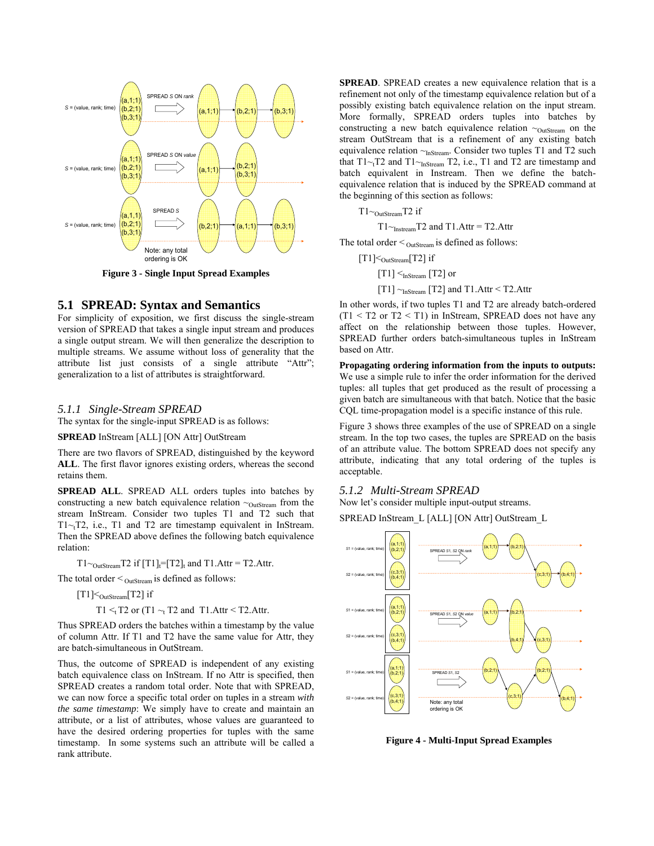

**Figure 3 - Single Input Spread Examples**

# **5.1 SPREAD: Syntax and Semantics**

For simplicity of exposition, we first discuss the single-stream version of SPREAD that takes a single input stream and produces a single output stream. We will then generalize the description to multiple streams. We assume without loss of generality that the attribute list just consists of a single attribute "Attr"; generalization to a list of attributes is straightforward.

#### *5.1.1 Single-Stream SPREAD*

The syntax for the single-input SPREAD is as follows:

**SPREAD** InStream [ALL] [ON Attr] OutStream

There are two flavors of SPREAD, distinguished by the keyword **ALL**. The first flavor ignores existing orders, whereas the second retains them.

**SPREAD ALL**. SPREAD ALL orders tuples into batches by constructing a new batch equivalence relation  $\sim_{\text{OutStream}}$  from the stream InStream. Consider two tuples T1 and T2 such that  $T1 \sim_{t} T2$ , i.e., T1 and T2 are timestamp equivalent in InStream. Then the SPREAD above defines the following batch equivalence relation:

 $T1\sim_{OutStream}T2$  if  $[T1]$ <sub>t</sub>= $[T2]$ <sub>t</sub> and T1.Attr = T2.Attr.

The total order  $\leq_{\text{OutStream}}$  is defined as follows:

 $[T1] <$ OutStream $[T2]$  if

 $T1 \leq T2$  or (T1  $\sim$  T2 and T1.Attr < T2.Attr.

Thus SPREAD orders the batches within a timestamp by the value of column Attr. If T1 and T2 have the same value for Attr, they are batch-simultaneous in OutStream.

Thus, the outcome of SPREAD is independent of any existing batch equivalence class on InStream. If no Attr is specified, then SPREAD creates a random total order. Note that with SPREAD, we can now force a specific total order on tuples in a stream *with the same timestamp*: We simply have to create and maintain an attribute, or a list of attributes, whose values are guaranteed to have the desired ordering properties for tuples with the same timestamp. In some systems such an attribute will be called a rank attribute.

**SPREAD**. SPREAD creates a new equivalence relation that is a refinement not only of the timestamp equivalence relation but of a possibly existing batch equivalence relation on the input stream. More formally, SPREAD orders tuples into batches by constructing a new batch equivalence relation ~OutStream on the stream OutStream that is a refinement of any existing batch equivalence relation ~InStream. Consider two tuples T1 and T2 such that  $T1 \sim_{t} T2$  and  $T1 \sim_{InStream} T2$ , i.e., T1 and T2 are timestamp and batch equivalent in Instream. Then we define the batchequivalence relation that is induced by the SPREAD command at the beginning of this section as follows:

T1~OutStreamT2 if

T1~ $_{Instream}$ T2 and T1.Attr = T2.Attr

The total order  $\leq_{\text{OutStream}}$  is defined as follows:

 $[T1]<sub>OutStream</sub>[T2]$  if  $[T1] <$ InStream [T2] or [T1]  $\sim$ <sub>InStream</sub> [T2] and T1.Attr < T2.Attr

In other words, if two tuples T1 and T2 are already batch-ordered  $(T1 < T2$  or  $T2 < T1$ ) in InStream, SPREAD does not have any affect on the relationship between those tuples. However, SPREAD further orders batch-simultaneous tuples in InStream based on Attr.

**Propagating ordering information from the inputs to outputs:**  We use a simple rule to infer the order information for the derived tuples: all tuples that get produced as the result of processing a given batch are simultaneous with that batch. Notice that the basic CQL time-propagation model is a specific instance of this rule.

Figure 3 shows three examples of the use of SPREAD on a single stream. In the top two cases, the tuples are SPREAD on the basis of an attribute value. The bottom SPREAD does not specify any attribute, indicating that any total ordering of the tuples is acceptable.

#### *5.1.2 Multi-Stream SPREAD*

Now let's consider multiple input-output streams.

SPREAD InStream\_L [ALL] [ON Attr] OutStream\_L



**Figure 4 - Multi-Input Spread Examples**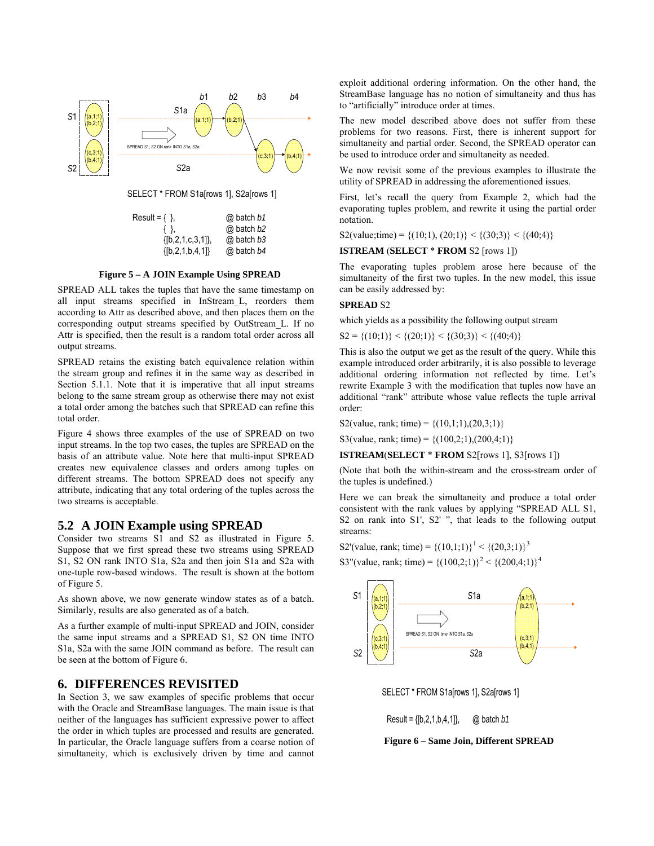

SELECT \* FROM S1a[rows 1], S2a[rows 1]

| Result = $\{\}$ ,            | @ batch b1 |
|------------------------------|------------|
| { }.                         | @ batch b2 |
| $\{ [b, 2, 1, c, 3, 1] \},\$ | @ batch b3 |
| $\{ [b, 2, 1, b, 4, 1] \}$   | @ batch b4 |

**Figure 5 – A JOIN Example Using SPREAD**

SPREAD ALL takes the tuples that have the same timestamp on all input streams specified in InStream\_L, reorders them according to Attr as described above, and then places them on the corresponding output streams specified by OutStream\_L. If no Attr is specified, then the result is a random total order across all output streams.

SPREAD retains the existing batch equivalence relation within the stream group and refines it in the same way as described in Section 5.1.1. Note that it is imperative that all input streams belong to the same stream group as otherwise there may not exist a total order among the batches such that SPREAD can refine this total order.

Figure 4 shows three examples of the use of SPREAD on two input streams. In the top two cases, the tuples are SPREAD on the basis of an attribute value. Note here that multi-input SPREAD creates new equivalence classes and orders among tuples on different streams. The bottom SPREAD does not specify any attribute, indicating that any total ordering of the tuples across the two streams is acceptable.

# **5.2 A JOIN Example using SPREAD**

Consider two streams  $S_1$  and  $S_2$  as illustrated in Figure 5. Suppose that we first spread these two streams using SPREAD S1, S2 ON rank INTO S1a, S2a and then join S1a and S2a with one-tuple row-based windows. The result is shown at the bottom of Figure 5.

As shown above, we now generate window states as of a batch. Similarly, results are also generated as of a batch.

As a further example of multi-input SPREAD and JOIN, consider the same input streams and a SPREAD S1, S2 ON time INTO S1a, S2a with the same JOIN command as before. The result can be seen at the bottom of Figure 6.

# **6. DIFFERENCES REVISITED**

In Section 3, we saw examples of specific problems that occur with the Oracle and StreamBase languages. The main issue is that neither of the languages has sufficient expressive power to affect the order in which tuples are processed and results are generated. In particular, the Oracle language suffers from a coarse notion of simultaneity, which is exclusively driven by time and cannot

exploit additional ordering information. On the other hand, the StreamBase language has no notion of simultaneity and thus has to "artificially" introduce order at times.

The new model described above does not suffer from these problems for two reasons. First, there is inherent support for simultaneity and partial order. Second, the SPREAD operator can be used to introduce order and simultaneity as needed.

We now revisit some of the previous examples to illustrate the utility of SPREAD in addressing the aforementioned issues.

First, let's recall the query from Example 2, which had the evaporating tuples problem, and rewrite it using the partial order notation.

S2(value;time) = {(10;1), (20;1)} < {(30;3)} < {(40;4)}

**ISTREAM** (**SELECT** \* **FROM** S2 [rows 1])

The evaporating tuples problem arose here because of the simultaneity of the first two tuples. In the new model, this issue can be easily addressed by:

## **SPREAD** S2

which yields as a possibility the following output stream

 $S2 = \{(10,1)\} < \{(20,1)\} < \{(30,3)\} < \{(40,4)\}$ 

This is also the output we get as the result of the query. While this example introduced order arbitrarily, it is also possible to leverage additional ordering information not reflected by time. Let's rewrite Example 3 with the modification that tuples now have an additional "rank" attribute whose value reflects the tuple arrival order:

S2(value, rank; time) = { $(10,1;1),(20,3;1)$ }

S3(value, rank; time) =  ${(100,2;1),(200,4;1)}$ 

**ISTREAM**(**SELECT** \* **FROM** S2[rows 1], S3[rows 1])

(Note that both the within-stream and the cross-stream order of the tuples is undefined.)

Here we can break the simultaneity and produce a total order consistent with the rank values by applying "SPREAD ALL S1, S2 on rank into S1', S2' ", that leads to the following output streams:

S2'(value, rank; time) =  $\{(10,1;1)\}^1$  <  $\{(20,3;1)\}^3$ 

S3"(value, rank; time) =  $\{(100,2;1)\}^2 < \{(200,4;1)\}^4$ 



SELECT \* FROM S1a[rows 1], S2a[rows 1]

Result = {[b,2,1,b,4,1]}, @ batch *b1*

#### **Figure 6 – Same Join, Different SPREAD**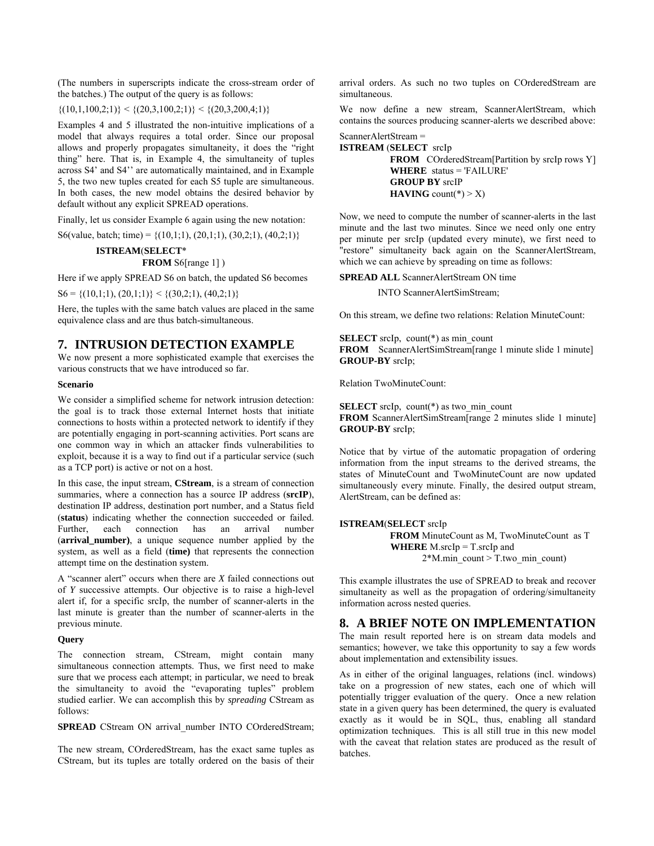(The numbers in superscripts indicate the cross-stream order of the batches.) The output of the query is as follows:

$$
\{(10,1,100,2;1)\} \leq \{(20,3,100,2;1)\} \leq \{(20,3,200,4;1)\}
$$

Examples 4 and 5 illustrated the non-intuitive implications of a model that always requires a total order. Since our proposal allows and properly propagates simultaneity, it does the "right thing" here. That is, in Example 4, the simultaneity of tuples across S4' and S4'' are automatically maintained, and in Example 5, the two new tuples created for each S5 tuple are simultaneous. In both cases, the new model obtains the desired behavior by default without any explicit SPREAD operations.

Finally, let us consider Example 6 again using the new notation:

S6(value, batch; time) = {(10,1;1), (20,1;1), (30,2;1), (40,2;1)}

## **ISTREAM**(**SELECT**\*

**FROM** S6[range 1] )

Here if we apply SPREAD S6 on batch, the updated S6 becomes

 $S6 = \{(10,1;1), (20,1;1)\}$  <  $\{(30,2;1), (40,2;1)\}$ 

Here, the tuples with the same batch values are placed in the same equivalence class and are thus batch-simultaneous.

# **7. INTRUSION DETECTION EXAMPLE**

We now present a more sophisticated example that exercises the various constructs that we have introduced so far.

#### **Scenario**

We consider a simplified scheme for network intrusion detection: the goal is to track those external Internet hosts that initiate connections to hosts within a protected network to identify if they are potentially engaging in port-scanning activities. Port scans are one common way in which an attacker finds vulnerabilities to exploit, because it is a way to find out if a particular service (such as a TCP port) is active or not on a host.

In this case, the input stream, **CStream**, is a stream of connection summaries, where a connection has a source IP address (**srcIP**), destination IP address, destination port number, and a Status field (**status**) indicating whether the connection succeeded or failed. Further, each connection has an arrival number (**arrival\_number)**, a unique sequence number applied by the system, as well as a field (**time)** that represents the connection attempt time on the destination system.

A "scanner alert" occurs when there are *X* failed connections out of *Y* successive attempts. Our objective is to raise a high-level alert if, for a specific srcIp, the number of scanner-alerts in the last minute is greater than the number of scanner-alerts in the previous minute.

#### **Query**

The connection stream, CStream, might contain many simultaneous connection attempts. Thus, we first need to make sure that we process each attempt; in particular, we need to break the simultaneity to avoid the "evaporating tuples" problem studied earlier. We can accomplish this by *spreading* CStream as follows:

**SPREAD** CStream ON arrival number INTO COrderedStream;

The new stream, COrderedStream, has the exact same tuples as CStream, but its tuples are totally ordered on the basis of their

arrival orders. As such no two tuples on COrderedStream are simultaneous.

We now define a new stream, ScannerAlertStream, which contains the sources producing scanner-alerts we described above:

```
ScannerAlertStream = 
ISTREAM (SELECT srcIp 
           FROM COrderedStream[Partition by srcIp rows Y]
            WHERE status = 'FAILURE' 
            GROUP BY srcIP 
           HAVING count(*) > X)
```
Now, we need to compute the number of scanner-alerts in the last minute and the last two minutes. Since we need only one entry per minute per srcIp (updated every minute), we first need to "restore" simultaneity back again on the ScannerAlertStream, which we can achieve by spreading on time as follows:

**SPREAD ALL** ScannerAlertStream ON time

INTO ScannerAlertSimStream;

On this stream, we define two relations: Relation MinuteCount:

**SELECT** srcIp, count(\*) as min\_count **FROM** ScannerAlertSimStream[range 1 minute slide 1 minute] **GROUP-BY** srcIp;

Relation TwoMinuteCount:

**SELECT** srcIp, count(\*) as two\_min\_count **FROM** ScannerAlertSimStream[range 2 minutes slide 1 minute] **GROUP-BY** srcIp;

Notice that by virtue of the automatic propagation of ordering information from the input streams to the derived streams, the states of MinuteCount and TwoMinuteCount are now updated simultaneously every minute. Finally, the desired output stream, AlertStream, can be defined as:

**ISTREAM**(**SELECT** srcIp

 **FROM** MinuteCount as M, TwoMinuteCount as T **WHERE** M.srcIp = T.srcIp and  $2*M$ .min count > T.two min count)

This example illustrates the use of SPREAD to break and recover simultaneity as well as the propagation of ordering/simultaneity information across nested queries.

# **8. A BRIEF NOTE ON IMPLEMENTATION**

The main result reported here is on stream data models and semantics; however, we take this opportunity to say a few words about implementation and extensibility issues.

As in either of the original languages, relations (incl. windows) take on a progression of new states, each one of which will potentially trigger evaluation of the query. Once a new relation state in a given query has been determined, the query is evaluated exactly as it would be in SQL, thus, enabling all standard optimization techniques. This is all still true in this new model with the caveat that relation states are produced as the result of batches.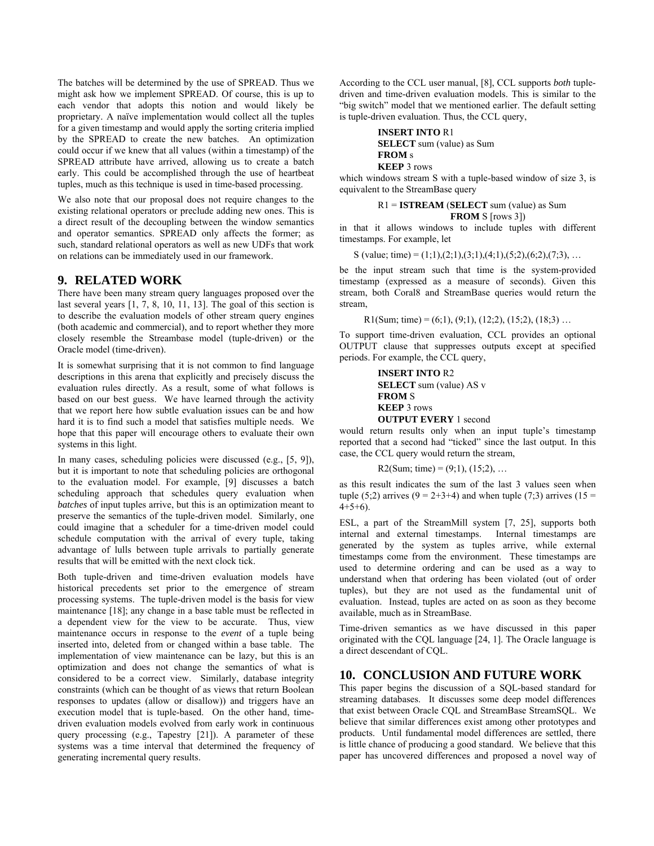The batches will be determined by the use of SPREAD. Thus we might ask how we implement SPREAD. Of course, this is up to each vendor that adopts this notion and would likely be proprietary. A naïve implementation would collect all the tuples for a given timestamp and would apply the sorting criteria implied by the SPREAD to create the new batches. An optimization could occur if we knew that all values (within a timestamp) of the SPREAD attribute have arrived, allowing us to create a batch early. This could be accomplished through the use of heartbeat tuples, much as this technique is used in time-based processing.

We also note that our proposal does not require changes to the existing relational operators or preclude adding new ones. This is a direct result of the decoupling between the window semantics and operator semantics. SPREAD only affects the former; as such, standard relational operators as well as new UDFs that work on relations can be immediately used in our framework.

## **9. RELATED WORK**

There have been many stream query languages proposed over the last several years [1, 7, 8, 10, 11, 13]. The goal of this section is to describe the evaluation models of other stream query engines (both academic and commercial), and to report whether they more closely resemble the Streambase model (tuple-driven) or the Oracle model (time-driven).

It is somewhat surprising that it is not common to find language descriptions in this arena that explicitly and precisely discuss the evaluation rules directly. As a result, some of what follows is based on our best guess. We have learned through the activity that we report here how subtle evaluation issues can be and how hard it is to find such a model that satisfies multiple needs. We hope that this paper will encourage others to evaluate their own systems in this light.

In many cases, scheduling policies were discussed (e.g., [5, 9]), but it is important to note that scheduling policies are orthogonal to the evaluation model. For example, [9] discusses a batch scheduling approach that schedules query evaluation when *batches* of input tuples arrive, but this is an optimization meant to preserve the semantics of the tuple-driven model. Similarly, one could imagine that a scheduler for a time-driven model could schedule computation with the arrival of every tuple, taking advantage of lulls between tuple arrivals to partially generate results that will be emitted with the next clock tick.

Both tuple-driven and time-driven evaluation models have historical precedents set prior to the emergence of stream processing systems. The tuple-driven model is the basis for view maintenance [18]; any change in a base table must be reflected in a dependent view for the view to be accurate. Thus, view maintenance occurs in response to the *event* of a tuple being inserted into, deleted from or changed within a base table. The implementation of view maintenance can be lazy, but this is an optimization and does not change the semantics of what is considered to be a correct view. Similarly, database integrity constraints (which can be thought of as views that return Boolean responses to updates (allow or disallow)) and triggers have an execution model that is tuple-based. On the other hand, timedriven evaluation models evolved from early work in continuous query processing (e.g., Tapestry [21]). A parameter of these systems was a time interval that determined the frequency of generating incremental query results.

According to the CCL user manual, [8], CCL supports *both* tupledriven and time-driven evaluation models. This is similar to the "big switch" model that we mentioned earlier. The default setting is tuple-driven evaluation. Thus, the CCL query,

#### **INSERT INTO** R1 **SELECT** sum (value) as Sum **FROM** s **KEEP** 3 rows

which windows stream S with a tuple-based window of size 3, is equivalent to the StreamBase query

> R1 = **ISTREAM** (**SELECT** sum (value) as Sum **FROM** S [rows 3])

in that it allows windows to include tuples with different timestamps. For example, let

S (value; time) = (1;1),(2;1),(3;1),(4;1),(5;2),(6;2),(7;3), ...

be the input stream such that time is the system-provided timestamp (expressed as a measure of seconds). Given this stream, both Coral8 and StreamBase queries would return the stream,

R1(Sum; time) = (6;1), (9;1), (12;2), (15;2), (18;3) ...

To support time-driven evaluation, CCL provides an optional OUTPUT clause that suppresses outputs except at specified periods. For example, the CCL query,

**INSERT INTO** R2 **SELECT** sum (value) AS v **FROM** S **KEEP** 3 rows **OUTPUT EVERY** 1 second

would return results only when an input tuple's timestamp reported that a second had "ticked" since the last output. In this case, the CCL query would return the stream,

$$
R2(Sum; time) = (9;1), (15;2), \dots
$$

as this result indicates the sum of the last 3 values seen when tuple (5;2) arrives (9 = 2+3+4) and when tuple (7;3) arrives (15 =  $4+5+6$ ).

ESL, a part of the StreamMill system [7, 25], supports both internal and external timestamps. Internal timestamps are generated by the system as tuples arrive, while external timestamps come from the environment. These timestamps are used to determine ordering and can be used as a way to understand when that ordering has been violated (out of order tuples), but they are not used as the fundamental unit of evaluation. Instead, tuples are acted on as soon as they become available, much as in StreamBase.

Time-driven semantics as we have discussed in this paper originated with the CQL language [24, 1]. The Oracle language is a direct descendant of CQL.

# **10. CONCLUSION AND FUTURE WORK**

This paper begins the discussion of a SQL-based standard for streaming databases. It discusses some deep model differences that exist between Oracle CQL and StreamBase StreamSQL. We believe that similar differences exist among other prototypes and products. Until fundamental model differences are settled, there is little chance of producing a good standard. We believe that this paper has uncovered differences and proposed a novel way of